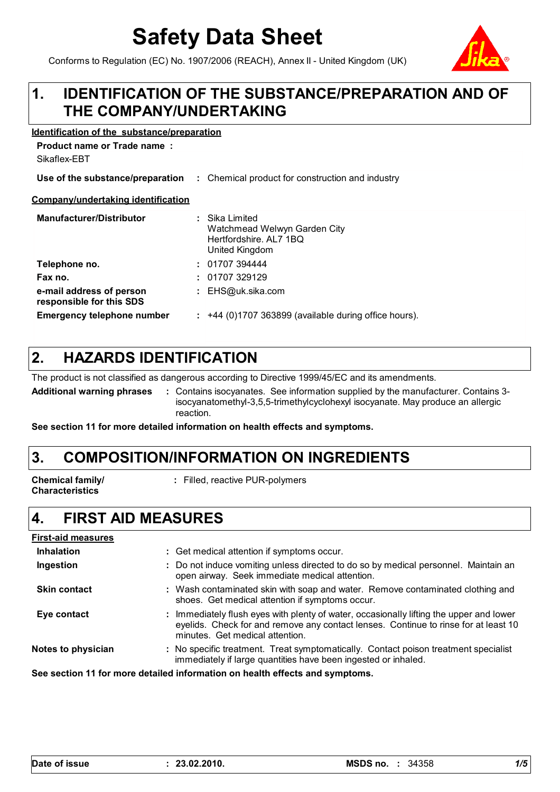# **Safety Data Sheet**

Conforms to Regulation (EC) No. 1907/2006 (REACH), Annex II - United Kingdom (UK)



#### **IDENTIFICATION OF THE SUBSTANCE/PREPARATION AND OF THE COMPANY/UNDERTAKING 1.**

#### **Identification of the substance/preparation**

**Product name or Trade name :**

| Sikaflex-EBT                                         |                                                                                            |
|------------------------------------------------------|--------------------------------------------------------------------------------------------|
| Use of the substance/preparation                     | : Chemical product for construction and industry                                           |
| Company/undertaking identification                   |                                                                                            |
| <b>Manufacturer/Distributor</b>                      | : Sika Limited<br>Watchmead Welwyn Garden City<br>Hertfordshire. AL7 1BQ<br>United Kingdom |
| Telephone no.                                        | : 01707394444                                                                              |
| Fax no.                                              | : 01707329129                                                                              |
| e-mail address of person<br>responsible for this SDS | : $EHS@uk.sika.com$                                                                        |
| <b>Emergency telephone number</b>                    | $:$ +44 (0)1707 363899 (available during office hours).                                    |

#### **HAZARDS IDENTIFICATION 2.**

The product is not classified as dangerous according to Directive 1999/45/EC and its amendments.

**Additional warning phrases :** Contains isocyanates. See information supplied by the manufacturer. Contains 3 isocyanatomethyl-3,5,5-trimethylcyclohexyl isocyanate. May produce an allergic reaction.

**See section 11 for more detailed information on health effects and symptoms.**

## **3. COMPOSITION/INFORMATION ON INGREDIENTS**

**Chemical family/ Characteristics**

**:** Filled, reactive PUR-polymers

#### **4. FIRST AID MEASURES**

| <b>First-aid measures</b>                                                    |                                                                                                                                                                                                                   |  |
|------------------------------------------------------------------------------|-------------------------------------------------------------------------------------------------------------------------------------------------------------------------------------------------------------------|--|
| <b>Inhalation</b>                                                            | : Get medical attention if symptoms occur.                                                                                                                                                                        |  |
| Ingestion                                                                    | : Do not induce vomiting unless directed to do so by medical personnel. Maintain an<br>open airway. Seek immediate medical attention.                                                                             |  |
| <b>Skin contact</b>                                                          | : Wash contaminated skin with soap and water. Remove contaminated clothing and<br>shoes. Get medical attention if symptoms occur.                                                                                 |  |
| Eye contact                                                                  | : Immediately flush eyes with plenty of water, occasionally lifting the upper and lower<br>eyelids. Check for and remove any contact lenses. Continue to rinse for at least 10<br>minutes. Get medical attention. |  |
| Notes to physician                                                           | : No specific treatment. Treat symptomatically. Contact poison treatment specialist<br>immediately if large quantities have been ingested or inhaled.                                                             |  |
| See section 11 for more detailed information on health effects and symptoms. |                                                                                                                                                                                                                   |  |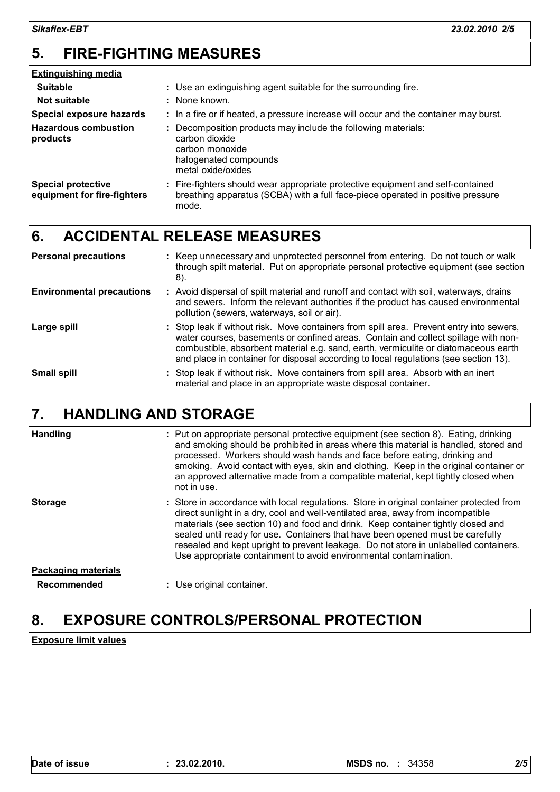#### **FIRE-FIGHTING MEASURES 5.**

| <b>Extinguishing media</b>                               |                                                                                                                                                                             |
|----------------------------------------------------------|-----------------------------------------------------------------------------------------------------------------------------------------------------------------------------|
| <b>Suitable</b>                                          | : Use an extinguishing agent suitable for the surrounding fire.                                                                                                             |
| Not suitable                                             | : None known.                                                                                                                                                               |
| <b>Special exposure hazards</b>                          | : In a fire or if heated, a pressure increase will occur and the container may burst.                                                                                       |
| <b>Hazardous combustion</b><br>products                  | Decomposition products may include the following materials:<br>carbon dioxide<br>carbon monoxide<br>halogenated compounds<br>metal oxide/oxides                             |
| <b>Special protective</b><br>equipment for fire-fighters | : Fire-fighters should wear appropriate protective equipment and self-contained<br>breathing apparatus (SCBA) with a full face-piece operated in positive pressure<br>mode. |

## **6. ACCIDENTAL RELEASE MEASURES**

| <b>Personal precautions</b>      | : Keep unnecessary and unprotected personnel from entering. Do not touch or walk<br>through spilt material. Put on appropriate personal protective equipment (see section<br>8).                                                                                                                                                                              |
|----------------------------------|---------------------------------------------------------------------------------------------------------------------------------------------------------------------------------------------------------------------------------------------------------------------------------------------------------------------------------------------------------------|
| <b>Environmental precautions</b> | : Avoid dispersal of spilt material and runoff and contact with soil, waterways, drains<br>and sewers. Inform the relevant authorities if the product has caused environmental<br>pollution (sewers, waterways, soil or air).                                                                                                                                 |
| Large spill                      | : Stop leak if without risk. Move containers from spill area. Prevent entry into sewers,<br>water courses, basements or confined areas. Contain and collect spillage with non-<br>combustible, absorbent material e.g. sand, earth, vermiculite or diatomaceous earth<br>and place in container for disposal according to local regulations (see section 13). |
| <b>Small spill</b>               | : Stop leak if without risk. Move containers from spill area. Absorb with an inert<br>material and place in an appropriate waste disposal container.                                                                                                                                                                                                          |

#### **HANDLING AND STORAGE 7.**

| <b>Handling</b>            | : Put on appropriate personal protective equipment (see section 8). Eating, drinking<br>and smoking should be prohibited in areas where this material is handled, stored and<br>processed. Workers should wash hands and face before eating, drinking and<br>smoking. Avoid contact with eyes, skin and clothing. Keep in the original container or<br>an approved alternative made from a compatible material, kept tightly closed when<br>not in use.                                                        |
|----------------------------|----------------------------------------------------------------------------------------------------------------------------------------------------------------------------------------------------------------------------------------------------------------------------------------------------------------------------------------------------------------------------------------------------------------------------------------------------------------------------------------------------------------|
| <b>Storage</b>             | : Store in accordance with local regulations. Store in original container protected from<br>direct sunlight in a dry, cool and well-ventilated area, away from incompatible<br>materials (see section 10) and food and drink. Keep container tightly closed and<br>sealed until ready for use. Containers that have been opened must be carefully<br>resealed and kept upright to prevent leakage. Do not store in unlabelled containers.<br>Use appropriate containment to avoid environmental contamination. |
| <b>Packaging materials</b> |                                                                                                                                                                                                                                                                                                                                                                                                                                                                                                                |
| Recommended                | : Use original container.                                                                                                                                                                                                                                                                                                                                                                                                                                                                                      |

## **8. EXPOSURE CONTROLS/PERSONAL PROTECTION**

**Exposure limit values**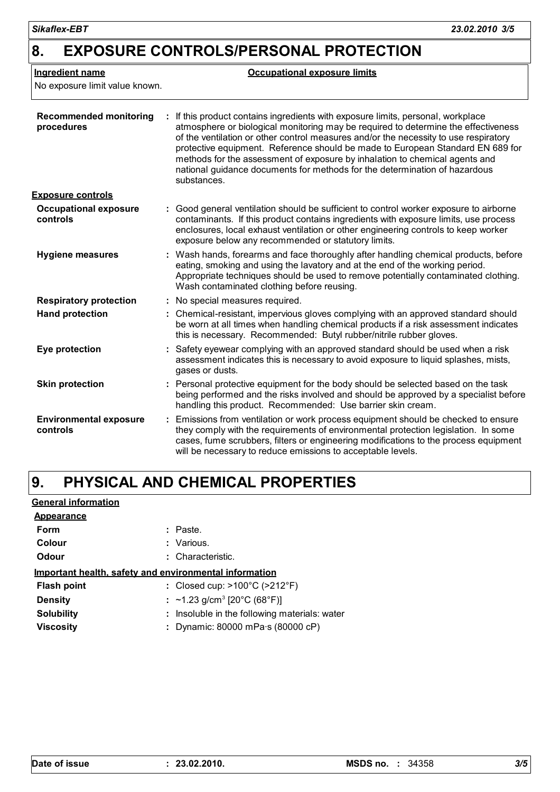| <b>Ingredient name</b><br>No exposure limit value known. | <b>Occupational exposure limits</b>                                                                                                                                                                                                                                                                                                                                                                                                                                                                                        |  |  |
|----------------------------------------------------------|----------------------------------------------------------------------------------------------------------------------------------------------------------------------------------------------------------------------------------------------------------------------------------------------------------------------------------------------------------------------------------------------------------------------------------------------------------------------------------------------------------------------------|--|--|
| <b>Recommended monitoring</b><br>procedures              | If this product contains ingredients with exposure limits, personal, workplace<br>atmosphere or biological monitoring may be required to determine the effectiveness<br>of the ventilation or other control measures and/or the necessity to use respiratory<br>protective equipment. Reference should be made to European Standard EN 689 for<br>methods for the assessment of exposure by inhalation to chemical agents and<br>national guidance documents for methods for the determination of hazardous<br>substances. |  |  |
| <b>Exposure controls</b>                                 |                                                                                                                                                                                                                                                                                                                                                                                                                                                                                                                            |  |  |
| <b>Occupational exposure</b><br>controls                 | : Good general ventilation should be sufficient to control worker exposure to airborne<br>contaminants. If this product contains ingredients with exposure limits, use process<br>enclosures, local exhaust ventilation or other engineering controls to keep worker<br>exposure below any recommended or statutory limits.                                                                                                                                                                                                |  |  |
| <b>Hygiene measures</b>                                  | : Wash hands, forearms and face thoroughly after handling chemical products, before<br>eating, smoking and using the lavatory and at the end of the working period.<br>Appropriate techniques should be used to remove potentially contaminated clothing.<br>Wash contaminated clothing before reusing.                                                                                                                                                                                                                    |  |  |
| <b>Respiratory protection</b>                            | : No special measures required.                                                                                                                                                                                                                                                                                                                                                                                                                                                                                            |  |  |
| <b>Hand protection</b>                                   | : Chemical-resistant, impervious gloves complying with an approved standard should<br>be worn at all times when handling chemical products if a risk assessment indicates<br>this is necessary. Recommended: Butyl rubber/nitrile rubber gloves.                                                                                                                                                                                                                                                                           |  |  |
| Eye protection                                           | Safety eyewear complying with an approved standard should be used when a risk<br>assessment indicates this is necessary to avoid exposure to liquid splashes, mists,<br>gases or dusts.                                                                                                                                                                                                                                                                                                                                    |  |  |
| <b>Skin protection</b>                                   | : Personal protective equipment for the body should be selected based on the task<br>being performed and the risks involved and should be approved by a specialist before<br>handling this product. Recommended: Use barrier skin cream.                                                                                                                                                                                                                                                                                   |  |  |
| <b>Environmental exposure</b><br>controls                | Emissions from ventilation or work process equipment should be checked to ensure<br>÷.<br>they comply with the requirements of environmental protection legislation. In some<br>cases, fume scrubbers, filters or engineering modifications to the process equipment<br>will be necessary to reduce emissions to acceptable levels.                                                                                                                                                                                        |  |  |

#### **PHYSICAL AND CHEMICAL PROPERTIES 9.**

| : Paste.                                               |
|--------------------------------------------------------|
| : Various.                                             |
| : Characteristic.                                      |
| Important health, safety and environmental information |
| : Closed cup: $>100^{\circ}$ C ( $>212^{\circ}$ F)     |
| : ~1.23 g/cm <sup>3</sup> [20°C (68°F)]                |
| : Insoluble in the following materials: water          |
| Dynamic: 80000 mPa·s (80000 cP)                        |
|                                                        |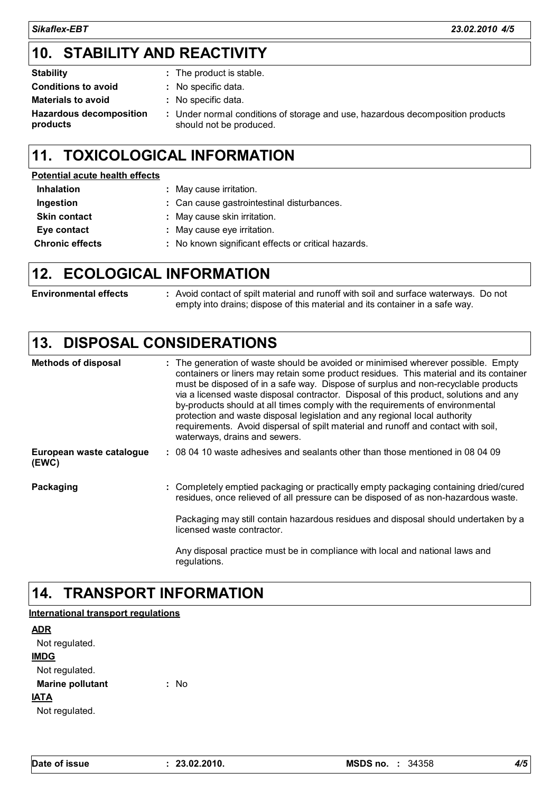## **STABILITY AND REACTIVITY 10.**

- **Stability Constant Constant Constant Constant Constant Constant Constant Constant Constant Constant Constant Constant Constant Constant Constant Constant Constant Constant Constant Constant Constant Constant Constant Co :**
- **Conditions to avoid Materials to avoid :**
- : No specific data.

**Hazardous decomposition products**

Under normal conditions of storage and use, hazardous decomposition products **:** should not be produced.

## **11. TOXICOLOGICAL INFORMATION**

## **Potential acute health effects**

| <b>Inhalation</b>      | : May cause irritation.                             |
|------------------------|-----------------------------------------------------|
| Ingestion              | : Can cause gastrointestinal disturbances.          |
| <b>Skin contact</b>    | : May cause skin irritation.                        |
| Eye contact            | : May cause eye irritation.                         |
| <b>Chronic effects</b> | : No known significant effects or critical hazards. |

## **12. ECOLOGICAL INFORMATION**

| <b>Environmental effects</b> | Avoid contact of spilt material and runoff with soil and surface waterways. Do not |
|------------------------------|------------------------------------------------------------------------------------|
|                              | empty into drains; dispose of this material and its container in a safe way.       |

## **13. DISPOSAL CONSIDERATIONS**

| <b>Methods of disposal</b>        | : The generation of waste should be avoided or minimised wherever possible. Empty<br>containers or liners may retain some product residues. This material and its container<br>must be disposed of in a safe way. Dispose of surplus and non-recyclable products<br>via a licensed waste disposal contractor. Disposal of this product, solutions and any<br>by-products should at all times comply with the requirements of environmental<br>protection and waste disposal legislation and any regional local authority<br>requirements. Avoid dispersal of spilt material and runoff and contact with soil,<br>waterways, drains and sewers. |
|-----------------------------------|------------------------------------------------------------------------------------------------------------------------------------------------------------------------------------------------------------------------------------------------------------------------------------------------------------------------------------------------------------------------------------------------------------------------------------------------------------------------------------------------------------------------------------------------------------------------------------------------------------------------------------------------|
| European waste catalogue<br>(EWC) | : 08 04 10 waste adhesives and sealants other than those mentioned in 08 04 09                                                                                                                                                                                                                                                                                                                                                                                                                                                                                                                                                                 |
| Packaging                         | : Completely emptied packaging or practically empty packaging containing dried/cured<br>residues, once relieved of all pressure can be disposed of as non-hazardous waste.<br>Packaging may still contain hazardous residues and disposal should undertaken by a                                                                                                                                                                                                                                                                                                                                                                               |
|                                   | licensed waste contractor.<br>Any disposal practice must be in compliance with local and national laws and<br>regulations.                                                                                                                                                                                                                                                                                                                                                                                                                                                                                                                     |

#### **14. TRANSPORT INFORMATION**

## **International transport regulations**

| ADR                     |    |  |
|-------------------------|----|--|
| Not regulated.          |    |  |
| <b>IMDG</b>             |    |  |
| Not regulated.          |    |  |
| <b>Marine pollutant</b> | N٥ |  |
| IATA                    |    |  |
| Not regulated.          |    |  |